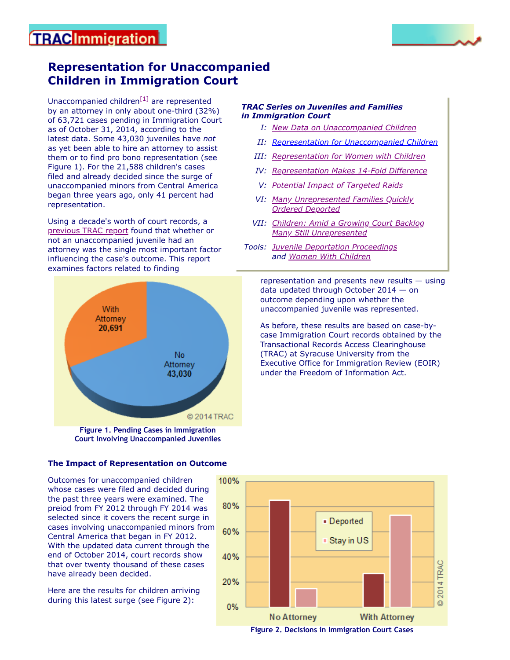## **TRACImmigration**

## **Representation for Unaccompanied Children in Immigration Court**

Unaccompanied children $^{[1]}$  $^{[1]}$  $^{[1]}$  are represented by an attorney in only about one-third (32%) of 63,721 cases pending in Immigration Court as of October 31, 2014, according to the latest data. Some 43,030 juveniles have *not* as yet been able to hire an attorney to assist them or to find pro bono representation (see Figure 1). For the 21,588 children's cases filed and already decided since the surge of unaccompanied minors from Central America began three years ago, only 41 percent had representation.

Using a decade's worth of court records, a [previous TRAC report](https://trac.syr.edu/immigration/reports/359/) found that whether or not an unaccompanied juvenile had an attorney was the single most important factor influencing the case's outcome. This report examines factors related to finding

# **With** Attorney 20,691 No Attorney 43,030 © 2014 TRAC

**Figure 1. Pending Cases in Immigration Court Involving Unaccompanied Juveniles**

#### *TRAC Series on Juveniles and Families in Immigration Court*

- *I: [New Data on Unaccompanied Children](https://trac.syr.edu/immigration/reports/359/)*
- *II: [Representation for Unaccompanied Children](https://trac.syr.edu/immigration/reports/371/)*
- *III: [Representation for Women with Children](https://trac.syr.edu/immigration/reports/377/)*
- *IV: [Representation Makes 14-Fold Difference](https://trac.syr.edu/immigration/reports/396/)*
- *V: [Potential Impact of Targeted Raids](https://trac.syr.edu/immigration/reports/410/)*
- *VI: [Many Unrepresented Families Quickly](https://trac.syr.edu/immigration/reports/441/) Ordered Deported*
- *VII: [Children: Amid a Growing Court Backlog](https://trac.syr.edu/immigration/reports/482/) Many Still Unrepresented*
- *Tools: [Juvenile Deportation Proceedings](https://trac.syr.edu/phptools/immigration/juvenile/) and [Women With Children](https://trac.syr.edu/phptools/immigration/mwc/)*

representation and presents new results — using data updated through October 2014 — on outcome depending upon whether the unaccompanied juvenile was represented.

As before, these results are based on case-bycase Immigration Court records obtained by the Transactional Records Access Clearinghouse (TRAC) at Syracuse University from the Executive Office for Immigration Review (EOIR) under the Freedom of Information Act.

## **The Impact of Representation on Outcome**

Outcomes for unaccompanied children whose cases were filed and decided during the past three years were examined. The preiod from FY 2012 through FY 2014 was selected since it covers the recent surge in cases involving unaccompanied minors from Central America that began in FY 2012. With the updated data current through the end of October 2014, court records show that over twenty thousand of these cases have already been decided.

Here are the results for children arriving during this latest surge (see Figure 2):

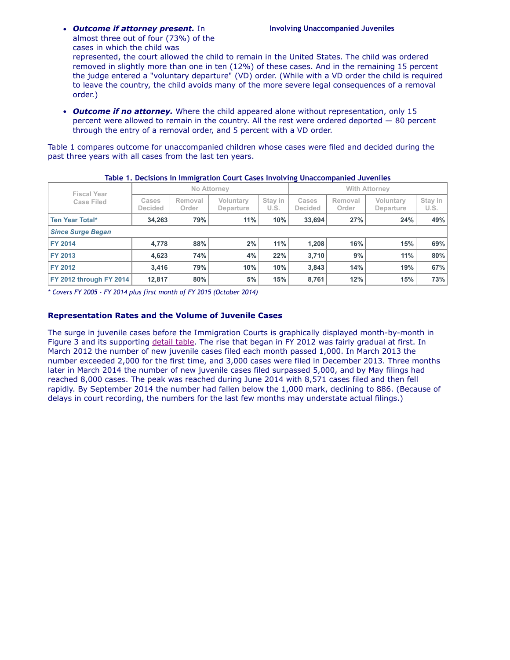*Outcome if attorney present.* In **Involving Unaccompanied Juveniles** almost three out of four (73%) of the cases in which the child was

represented, the court allowed the child to remain in the United States. The child was ordered removed in slightly more than one in ten (12%) of these cases. And in the remaining 15 percent the judge entered a "voluntary departure" (VD) order. (While with a VD order the child is required to leave the country, the child avoids many of the more severe legal consequences of a removal order.)

*Outcome if no attorney.* Where the child appeared alone without representation, only 15 percent were allowed to remain in the country. All the rest were ordered deported — 80 percent through the entry of a removal order, and 5 percent with a VD order.

Table 1 compares outcome for unaccompanied children whose cases were filed and decided during the past three years with all cases from the last ten years.

| <b>Fiscal Year</b>             | No Attorney             |                  |                        | <b>With Attorney</b> |                         |                  |                        |                 |
|--------------------------------|-------------------------|------------------|------------------------|----------------------|-------------------------|------------------|------------------------|-----------------|
| <b>Case Filed</b>              | Cases<br><b>Decided</b> | Removal<br>Order | Voluntary<br>Departure | Stay in<br>U.S.      | Cases<br><b>Decided</b> | Removal<br>Order | Voluntarv<br>Departure | Stay in<br>U.S. |
| <b>Ten Year Total*</b>         | 34,263                  | 79%              | 11%                    | 10%                  | 33,694                  | 27%              | 24%                    | 49%             |
| <b>Since Surge Began</b>       |                         |                  |                        |                      |                         |                  |                        |                 |
| <b>FY 2014</b>                 | 4,778                   | 88%              | 2%                     | 11%                  | 1.208                   | 16%              | 15%                    | 69%             |
| FY 2013                        | 4,623                   | 74%              | 4%                     | 22%                  | 3,710                   | 9%               | 11%                    | 80%             |
| FY 2012                        | 3,416                   | 79%              | 10%                    | 10%                  | 3,843                   | 14%              | 19%                    | 67%             |
| <b>FY 2012 through FY 2014</b> | 12,817                  | 80%              | 5%                     | 15%                  | 8.761                   | 12%              | 15%                    | 73%             |

| Table 1. Decisions in Immigration Court Cases Involving Unaccompanied Juveniles |  |  |
|---------------------------------------------------------------------------------|--|--|
|---------------------------------------------------------------------------------|--|--|

*\* Covers FY 2005 - FY 2014 plus first month of FY 2015 (October 2014)*

#### **Representation Rates and the Volume of Juvenile Cases**

The surge in juvenile cases before the Immigration Courts is graphically displayed month-by-month in Figure 3 and its supporting [detail table](https://trac.syr.edu/immigration/reports/371/include/timeseriesG.html). The rise that began in FY 2012 was fairly gradual at first. In March 2012 the number of new juvenile cases filed each month passed 1,000. In March 2013 the number exceeded 2,000 for the first time, and 3,000 cases were filed in December 2013. Three months later in March 2014 the number of new juvenile cases filed surpassed 5,000, and by May filings had reached 8,000 cases. The peak was reached during June 2014 with 8,571 cases filed and then fell rapidly. By September 2014 the number had fallen below the 1,000 mark, declining to 886. (Because of delays in court recording, the numbers for the last few months may understate actual filings.)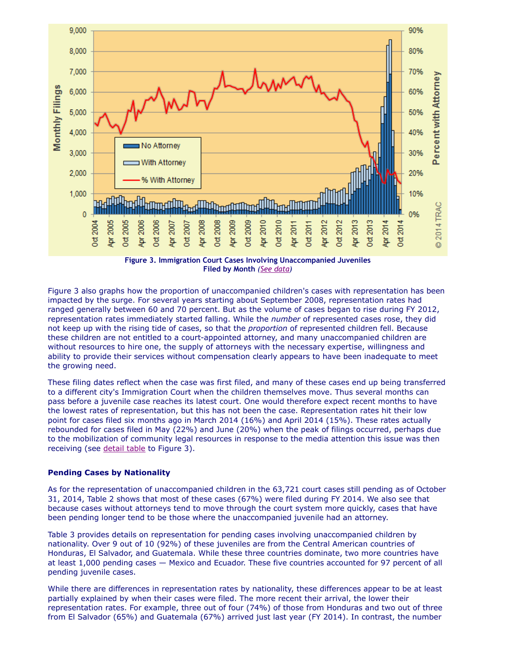

**Filed by Month** *([See data\)](https://trac.syr.edu/immigration/reports/371/include/timeseriesG.html)*

Figure 3 also graphs how the proportion of unaccompanied children's cases with representation has been impacted by the surge. For several years starting about September 2008, representation rates had ranged generally between 60 and 70 percent. But as the volume of cases began to rise during FY 2012, representation rates immediately started falling. While the *number* of represented cases rose, they did not keep up with the rising tide of cases, so that the *proportion* of represented children fell. Because these children are not entitled to a court-appointed attorney, and many unaccompanied children are without resources to hire one, the supply of attorneys with the necessary expertise, willingness and ability to provide their services without compensation clearly appears to have been inadequate to meet the growing need.

These filing dates reflect when the case was first filed, and many of these cases end up being transferred to a different city's Immigration Court when the children themselves move. Thus several months can pass before a juvenile case reaches its latest court. One would therefore expect recent months to have the lowest rates of representation, but this has not been the case. Representation rates hit their low point for cases filed six months ago in March 2014 (16%) and April 2014 (15%). These rates actually rebounded for cases filed in May (22%) and June (20%) when the peak of filings occurred, perhaps due to the mobilization of community legal resources in response to the media attention this issue was then receiving (see [detail table](https://trac.syr.edu/immigration/reports/371/include/timeseriesG.html) to Figure 3).

#### **Pending Cases by Nationality**

As for the representation of unaccompanied children in the 63,721 court cases still pending as of October 31, 2014, Table 2 shows that most of these cases (67%) were filed during FY 2014. We also see that because cases without attorneys tend to move through the court system more quickly, cases that have been pending longer tend to be those where the unaccompanied juvenile had an attorney.

Table 3 provides details on representation for pending cases involving unaccompanied children by nationality. Over 9 out of 10 (92%) of these juveniles are from the Central American countries of Honduras, El Salvador, and Guatemala. While these three countries dominate, two more countries have at least 1,000 pending cases — Mexico and Ecuador. These five countries accounted for 97 percent of all pending juvenile cases.

While there are differences in representation rates by nationality, these differences appear to be at least partially explained by when their cases were filed. The more recent their arrival, the lower their representation rates. For example, three out of four (74%) of those from Honduras and two out of three from El Salvador (65%) and Guatemala (67%) arrived just last year (FY 2014). In contrast, the number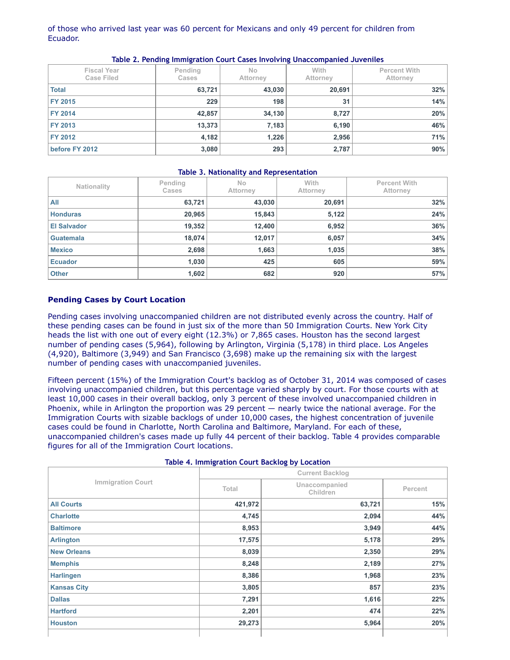#### of those who arrived last year was 60 percent for Mexicans and only 49 percent for children from Ecuador.

| <b>Fiscal Year</b><br>Case Filed | Pending<br><b>Cases</b> | <b>No</b><br>Attorney | With<br><b>Attorney</b> | <b>Percent With</b><br>Attorney |
|----------------------------------|-------------------------|-----------------------|-------------------------|---------------------------------|
| <b>Total</b>                     | 63,721                  | 43,030                | 20,691                  | 32%                             |
| <b>FY 2015</b>                   | 229                     | 198                   | 31                      | 14%                             |
| <b>FY 2014</b>                   | 42,857                  | 34,130                | 8,727                   | 20%                             |
| <b>FY 2013</b>                   | 13,373                  | 7,183                 | 6,190                   | 46%                             |
| <b>FY 2012</b>                   | 4,182                   | 1,226                 | 2,956                   | 71%                             |
| before FY 2012                   | 3,080                   | 293                   | 2,787                   | 90%                             |

#### **Table 2. Pending Immigration Court Cases Involving Unaccompanied Juveniles**

#### **Table 3. Nationality and Representation**

| Nationality        | Pending<br><b>Cases</b> | <b>No</b><br>Attorney | With<br>Attorney | <b>Percent With</b><br>Attorney |
|--------------------|-------------------------|-----------------------|------------------|---------------------------------|
| All                | 63,721                  | 43,030                | 20,691           | 32%                             |
| <b>Honduras</b>    | 20,965                  | 15,843                | 5,122            | 24%                             |
| <b>El Salvador</b> | 19,352                  | 12,400                | 6,952            | 36%                             |
| <b>Guatemala</b>   | 18,074                  | 12,017                | 6,057            | 34%                             |
| <b>Mexico</b>      | 2,698                   | 1,663                 | 1,035            | 38%                             |
| <b>Ecuador</b>     | 1,030                   | 425                   | 605              | 59%                             |
| <b>Other</b>       | 1,602                   | 682                   | 920              | 57%                             |

#### **Pending Cases by Court Location**

Pending cases involving unaccompanied children are not distributed evenly across the country. Half of these pending cases can be found in just six of the more than 50 Immigration Courts. New York City heads the list with one out of every eight (12.3%) or 7,865 cases. Houston has the second largest number of pending cases (5,964), following by Arlington, Virginia (5,178) in third place. Los Angeles (4,920), Baltimore (3,949) and San Francisco (3,698) make up the remaining six with the largest number of pending cases with unaccompanied juveniles.

Fifteen percent (15%) of the Immigration Court's backlog as of October 31, 2014 was composed of cases involving unaccompanied children, but this percentage varied sharply by court. For those courts with at least 10,000 cases in their overall backlog, only 3 percent of these involved unaccompanied children in Phoenix, while in Arlington the proportion was 29 percent — nearly twice the national average. For the Immigration Courts with sizable backlogs of under 10,000 cases, the highest concentration of juvenile cases could be found in Charlotte, North Carolina and Baltimore, Maryland. For each of these, unaccompanied children's cases made up fully 44 percent of their backlog. Table 4 provides comparable figures for all of the Immigration Court locations.

|                          | Table 4. Illilligiation Court Backlog by Location |                           |         |  |  |
|--------------------------|---------------------------------------------------|---------------------------|---------|--|--|
|                          |                                                   | <b>Current Backlog</b>    |         |  |  |
| <b>Immigration Court</b> | Total                                             | Unaccompanied<br>Children | Percent |  |  |
| <b>All Courts</b>        | 421,972                                           | 63,721                    | 15%     |  |  |
| <b>Charlotte</b>         | 4,745                                             | 2,094                     | 44%     |  |  |
| <b>Baltimore</b>         | 8,953                                             | 3,949                     | 44%     |  |  |
| <b>Arlington</b>         | 17,575                                            | 5,178                     | 29%     |  |  |
| <b>New Orleans</b>       | 8,039                                             | 2,350                     | 29%     |  |  |
| <b>Memphis</b>           | 8,248                                             | 2,189                     | 27%     |  |  |
| <b>Harlingen</b>         | 8,386                                             | 1,968                     | 23%     |  |  |
| <b>Kansas City</b>       | 3,805                                             | 857                       | 23%     |  |  |
| <b>Dallas</b>            | 7,291                                             | 1,616                     | 22%     |  |  |
| <b>Hartford</b>          | 2,201                                             | 474                       | 22%     |  |  |
| <b>Houston</b>           | 29,273                                            | 5,964                     | 20%     |  |  |
|                          |                                                   |                           |         |  |  |

#### **Table 4. Immigration Court Backlog by Location**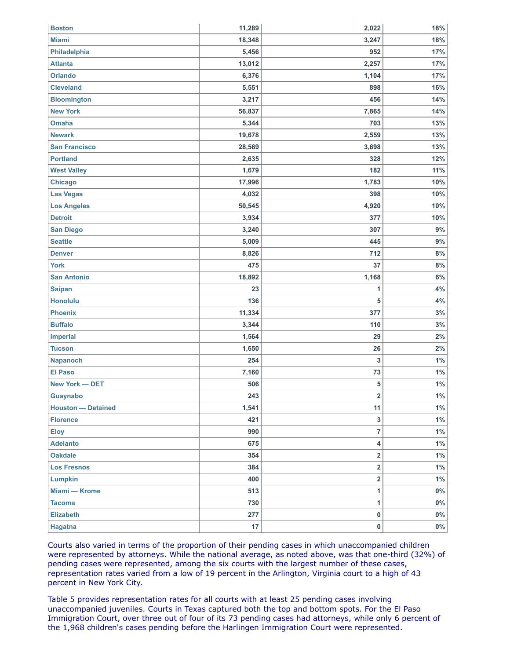| <b>Boston</b>             | 11,289 | 2,022                   | 18%   |
|---------------------------|--------|-------------------------|-------|
| <b>Miami</b>              | 18,348 | 3,247                   | 18%   |
| Philadelphia              | 5,456  | 952                     | 17%   |
| <b>Atlanta</b>            | 13,012 | 2,257                   | 17%   |
| <b>Orlando</b>            | 6,376  | 1,104                   | 17%   |
| <b>Cleveland</b>          | 5,551  | 898                     | 16%   |
| <b>Bloomington</b>        | 3,217  | 456                     | 14%   |
| <b>New York</b>           | 56,837 | 7,865                   | 14%   |
| <b>Omaha</b>              | 5,344  | 703                     | 13%   |
| <b>Newark</b>             | 19,678 | 2,559                   | 13%   |
| <b>San Francisco</b>      | 28,569 | 3,698                   | 13%   |
| <b>Portland</b>           | 2,635  | 328                     | 12%   |
| <b>West Valley</b>        | 1,679  | 182                     | 11%   |
| <b>Chicago</b>            | 17,996 | 1,783                   | 10%   |
| <b>Las Vegas</b>          | 4,032  | 398                     | 10%   |
| <b>Los Angeles</b>        | 50,545 | 4,920                   | 10%   |
| <b>Detroit</b>            | 3,934  | 377                     | 10%   |
| <b>San Diego</b>          | 3,240  | 307                     | 9%    |
| <b>Seattle</b>            | 5,009  | 445                     | 9%    |
| <b>Denver</b>             | 8,826  | 712                     | 8%    |
| <b>York</b>               | 475    | 37                      | 8%    |
| <b>San Antonio</b>        | 18,892 | 1,168                   | 6%    |
| <b>Saipan</b>             | 23     | 1                       | 4%    |
| <b>Honolulu</b>           | 136    | 5                       | 4%    |
| <b>Phoenix</b>            | 11,334 | 377                     | 3%    |
| <b>Buffalo</b>            | 3,344  | 110                     | 3%    |
| <b>Imperial</b>           | 1,564  | 29                      | 2%    |
| <b>Tucson</b>             | 1,650  | 26                      | 2%    |
| <b>Napanoch</b>           | 254    | 3                       | $1\%$ |
| <b>El Paso</b>            | 7,160  | 73                      | $1\%$ |
| New York - DET            | 506    | 5                       | $1\%$ |
| Guaynabo                  | 243    | $\overline{2}$          | $1\%$ |
| <b>Houston — Detained</b> | 1,541  | 11                      | $1\%$ |
| <b>Florence</b>           | 421    | 3                       | $1\%$ |
| <b>Eloy</b>               | 990    | 7                       | $1\%$ |
| <b>Adelanto</b>           | 675    | 4                       | $1\%$ |
| <b>Oakdale</b>            | 354    | 2                       | $1\%$ |
| <b>Los Fresnos</b>        | 384    | $\overline{\mathbf{2}}$ | $1\%$ |
| <b>Lumpkin</b>            | 400    | 2                       | $1\%$ |
| Miami - Krome             | 513    | 1                       | $0\%$ |
| <b>Tacoma</b>             | 730    | 1                       | $0\%$ |
| <b>Elizabeth</b>          | 277    | $\mathbf 0$             | $0\%$ |
| Hagatna                   | 17     | $\pmb{0}$               | $0\%$ |

Courts also varied in terms of the proportion of their pending cases in which unaccompanied children were represented by attorneys. While the national average, as noted above, was that one-third (32%) of pending cases were represented, among the six courts with the largest number of these cases, representation rates varied from a low of 19 percent in the Arlington, Virginia court to a high of 43 percent in New York City.

Table 5 provides representation rates for all courts with at least 25 pending cases involving unaccompanied juveniles. Courts in Texas captured both the top and bottom spots. For the El Paso Immigration Court, over three out of four of its 73 pending cases had attorneys, while only 6 percent of the 1,968 children's cases pending before the Harlingen Immigration Court were represented.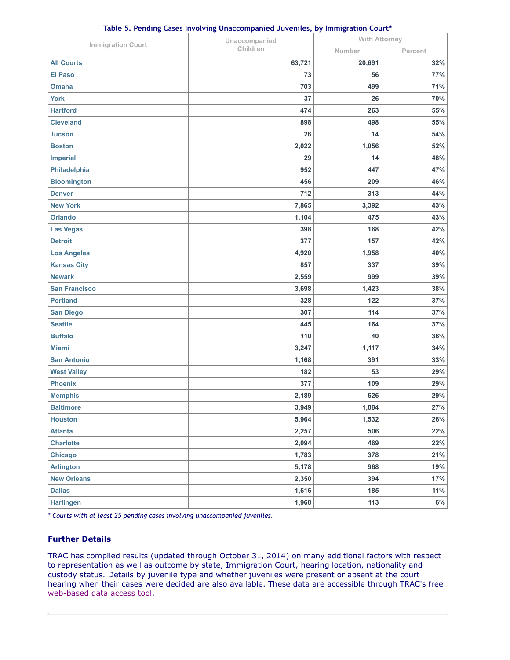| Table 5. Pending Cases Involving Unaccompanied Juveniles, by Immigration Court* |  |
|---------------------------------------------------------------------------------|--|
|---------------------------------------------------------------------------------|--|

|                          | Unaccompanied | <b>With Attorney</b> |         |  |
|--------------------------|---------------|----------------------|---------|--|
| <b>Immigration Court</b> | Children      | Number               | Percent |  |
| <b>All Courts</b>        | 63,721        | 20,691               | 32%     |  |
| <b>El Paso</b>           | 73            | 56                   | 77%     |  |
| <b>Omaha</b>             | 703           | 499                  | 71%     |  |
| <b>York</b>              | 37            | 26                   | 70%     |  |
| <b>Hartford</b>          | 474           | 263                  | 55%     |  |
| <b>Cleveland</b>         | 898           | 498                  | 55%     |  |
| <b>Tucson</b>            | 26            | 14                   | 54%     |  |
| <b>Boston</b>            | 2,022         | 1,056                | 52%     |  |
| <b>Imperial</b>          | 29            | 14                   | 48%     |  |
| Philadelphia             | 952           | 447                  | 47%     |  |
| <b>Bloomington</b>       | 456           | 209                  | 46%     |  |
| <b>Denver</b>            | 712           | 313                  | 44%     |  |
| <b>New York</b>          | 7,865         | 3,392                | 43%     |  |
| <b>Orlando</b>           | 1,104         | 475                  | 43%     |  |
| <b>Las Vegas</b>         | 398           | 168                  | 42%     |  |
| <b>Detroit</b>           | 377           | 157                  | 42%     |  |
| <b>Los Angeles</b>       | 4,920         | 1,958                | 40%     |  |
| <b>Kansas City</b>       | 857           | 337                  | 39%     |  |
| <b>Newark</b>            | 2,559         | 999                  | 39%     |  |
| <b>San Francisco</b>     | 3,698         | 1,423                | 38%     |  |
| <b>Portland</b>          | 328           | 122                  | 37%     |  |
| <b>San Diego</b>         | 307           | 114                  | 37%     |  |
| <b>Seattle</b>           | 445           | 164                  | 37%     |  |
| <b>Buffalo</b>           | 110           | 40                   | 36%     |  |
| <b>Miami</b>             | 3,247         | 1,117                | 34%     |  |
| <b>San Antonio</b>       | 1,168         | 391                  | 33%     |  |
| <b>West Valley</b>       | 182           | 53                   | 29%     |  |
| <b>Phoenix</b>           | 377           | 109                  | 29%     |  |
| <b>Memphis</b>           | 2,189         | 626                  | 29%     |  |
| <b>Baltimore</b>         | 3,949         | 1,084                | 27%     |  |
| <b>Houston</b>           | 5,964         | 1,532                | 26%     |  |
| <b>Atlanta</b>           | 2,257         | 506                  | 22%     |  |
| <b>Charlotte</b>         | 2,094         | 469                  | 22%     |  |
| <b>Chicago</b>           | 1,783         | 378                  | 21%     |  |
| <b>Arlington</b>         | 5,178         | 968                  | 19%     |  |
| <b>New Orleans</b>       | 2,350         | 394                  | 17%     |  |
| <b>Dallas</b>            | 1,616         | 185                  | 11%     |  |
| <b>Harlingen</b>         | 1,968         | 113                  | $6\%$   |  |

*\* Courts with at least 25 pending cases involving unaccompanied juveniles.*

#### **Further Details**

TRAC has compiled results (updated through October 31, 2014) on many additional factors with respect to representation as well as outcome by state, Immigration Court, hearing location, nationality and custody status. Details by juvenile type and whether juveniles were present or absent at the court hearing when their cases were decided are also available. These data are accessible through TRAC's free [web-based data access tool.](https://trac.syr.edu/phptools/immigration/juvenile/)